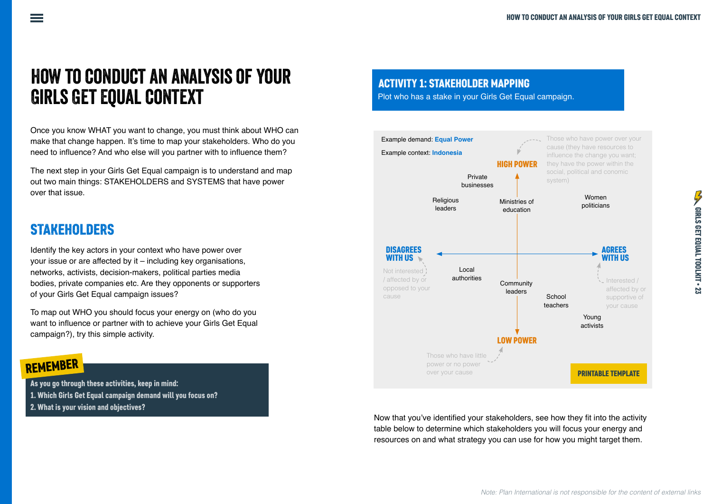## How to conduct an analysis of your Girls Get Equal context

Once you know WHAT you want to change, you must think about WHO can make that change happen. It's time to map your stakeholders. Who do you need to influence? And who else will you partner with to influence them?

The next step in your Girls Get Equal campaign is to understand and map out two main things: STAKEHOLDERS and SYSTEMS that have power over that issue.

### **STAKEHOLDERS**

Identify the key actors in your context who have power over your issue or are affected by it – including key organisations, networks, activists, decision-makers, political parties media bodies, private companies etc. Are they opponents or supporters of your Girls Get Equal campaign issues?

To map out WHO you should focus your energy on (who do you want to influence or partner with to achieve your Girls Get Equal campaign?), try this simple activity.

### REMEMBER

As you go through these activities, keep in mind:

- 1. Which Girls Get Equal campaign demand will you focus on?
- 2. What is your vision and objectives?

ACTIVITY 1: STAKEHOLDER MAPPING

Plot who has a stake in your Girls Get Equal campaign.



Now that you've identified your stakeholders, see how they fit into the activity table below to determine which stakeholders you will focus your energy and resources on and what strategy you can use for how you might target them.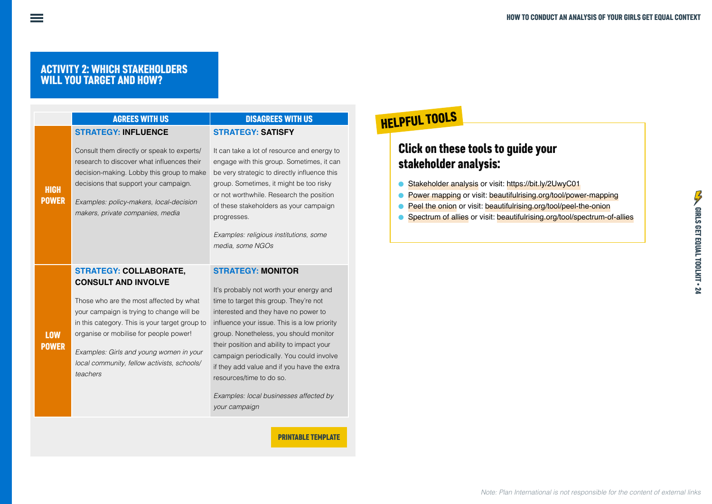#### ACTIVITY 2: WHICH STAKEHOLDERS WILL YOU TARGET AND HOW?

|                             | <b>AGREES WITH US</b>                                                                                                                                                                                                                                         | <b>DISAGREES WITH US</b>                                                                                                                                                                                                                                                                                                                               |
|-----------------------------|---------------------------------------------------------------------------------------------------------------------------------------------------------------------------------------------------------------------------------------------------------------|--------------------------------------------------------------------------------------------------------------------------------------------------------------------------------------------------------------------------------------------------------------------------------------------------------------------------------------------------------|
|                             | <b>STRATEGY: INFLUENCE</b>                                                                                                                                                                                                                                    | <b>STRATEGY: SATISFY</b>                                                                                                                                                                                                                                                                                                                               |
| <b>HIGH</b><br><b>POWER</b> | Consult them directly or speak to experts/<br>research to discover what influences their<br>decision-making. Lobby this group to make<br>decisions that support your campaign.<br>Examples: policy-makers, local-decision<br>makers, private companies, media | It can take a lot of resource and energy to<br>engage with this group. Sometimes, it can<br>be very strategic to directly influence this<br>group. Sometimes, it might be too risky<br>or not worthwhile. Research the position<br>of these stakeholders as your campaign<br>progresses.<br>Examples: religious institutions, some<br>media, some NGOs |
|                             | <b>STRATEGY: COLLABORATE,</b><br><b>CONSULT AND INVOLVE</b>                                                                                                                                                                                                   | <b>STRATEGY: MONITOR</b>                                                                                                                                                                                                                                                                                                                               |
| <b>LOW</b>                  | Those who are the most affected by what<br>your campaign is trying to change will be<br>in this category. This is your target group to<br>organise or mobilise for people power!                                                                              | It's probably not worth your energy and<br>time to target this group. They're not<br>interested and they have no power to<br>influence your issue. This is a low priority<br>group. Nonetheless, you should monitor                                                                                                                                    |
| <b>POWER</b>                | Examples: Girls and young women in your                                                                                                                                                                                                                       | their position and ability to impact your<br>campaign periodically. You could involve                                                                                                                                                                                                                                                                  |

*local community, fellow activists, schools/ teachers*

campaign periodically. You could involve if they add value and if you have the extra resources/time to do so.

*Examples: local businesses affected by your campaign*

PRINTABLE TEMPLATE

# HELPFUL TOOLS

### Click on these tools to guide your stakeholder analysis:

- ā [Stakeholder analysis](https://bit.ly/2UwyC01) or visit: https://bit.ly/2UwyC01
- ā [Power mapping](https://beautifulrising.org/tool/power-mapping) or visit: [beautifulrising.org/tool/power-mapping](https://beautifulrising.org/tool/power-mapping)
- **[Peel the onion](https://beautifulrising.org/tool/peel-the-onion) or visit: [beautifulrising.org/tool/peel-the-onion](https://beautifulrising.org/tool/peel-the-onion)**
- **•** [Spectrum of allies](https://beautifulrising.org/tool/spectrum-of-allies) or visit: [beautifulrising.org/tool/spectrum-of-allies](https://beautifulrising.org/tool/spectrum-of-allies)